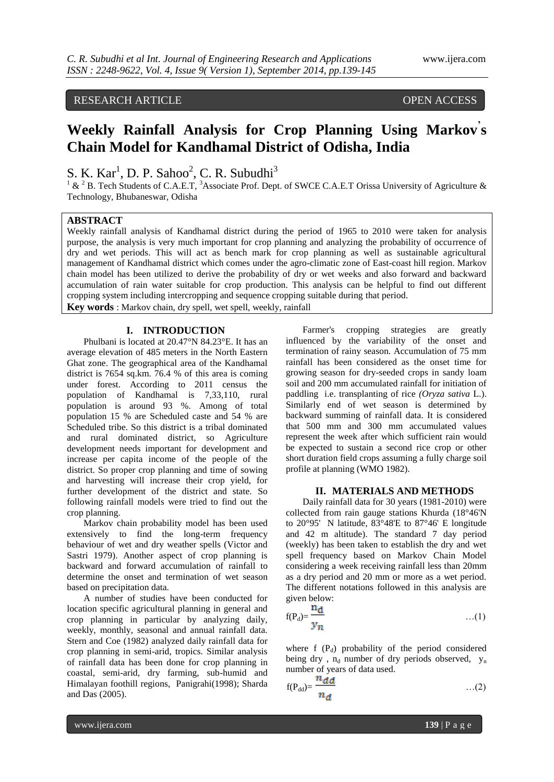# RESEARCH ARTICLE OPEN ACCESS

# **Weekly Rainfall Analysis for Crop Planning Using Markov' s Chain Model for Kandhamal District of Odisha, India**

S. K.  $Kar<sup>1</sup>$ , D. P. Sahoo<sup>2</sup>, C. R. Subudhi<sup>3</sup>

 $1 \& 2 B$ . Tech Students of C.A.E.T, <sup>3</sup>Associate Prof. Dept. of SWCE C.A.E.T Orissa University of Agriculture & Technology, Bhubaneswar, Odisha

# **ABSTRACT**

Weekly rainfall analysis of Kandhamal district during the period of 1965 to 2010 were taken for analysis purpose, the analysis is very much important for crop planning and analyzing the probability of occurrence of dry and wet periods. This will act as bench mark for crop planning as well as sustainable agricultural management of Kandhamal district which comes under the agro-climatic zone of East-coast hill region. Markov chain model has been utilized to derive the probability of dry or wet weeks and also forward and backward accumulation of rain water suitable for crop production. This analysis can be helpful to find out different cropping system including intercropping and sequence cropping suitable during that period.

**Key words** : Markov chain, dry spell, wet spell, weekly, rainfall

### **I. INTRODUCTION**

Phulbani is located at [20.47°N 84.23°E.](http://tools.wmflabs.org/geohack/geohack.php?pagename=Phulbani¶ms=20.47_N_84.23_E_) It has an average elevation of 485 meters in the North Eastern Ghat zone. The geographical area of the Kandhamal district is 7654 sq.km. 76.4 % of this area is coming under forest. According to 2011 census the population of Kandhamal is 7,33,110, rural population is around 93 %. Among of total population 15 % are Scheduled caste and 54 % are Scheduled tribe. So this district is a tribal dominated and rural dominated district, so Agriculture development needs important for development and increase per capita income of the people of the district. So proper crop planning and time of sowing and harvesting will increase their crop yield, for further development of the district and state. So following rainfall models were tried to find out the crop planning.

Markov chain probability model has been used extensively to find the long-term frequency behaviour of wet and dry weather spells (Victor and Sastri 1979). Another aspect of crop planning is backward and forward accumulation of rainfall to determine the onset and termination of wet season based on precipitation data.

A number of studies have been conducted for location specific agricultural planning in general and crop planning in particular by analyzing daily, weekly, monthly, seasonal and annual rainfall data. Stern and Coe (1982) analyzed daily rainfall data for crop planning in semi-arid, tropics. Similar analysis of rainfall data has been done for crop planning in coastal, semi-arid, dry farming, sub-humid and Himalayan foothill regions, Panigrahi(1998); Sharda and Das (2005).

Farmer's cropping strategies are greatly influenced by the variability of the onset and termination of rainy season. Accumulation of 75 mm rainfall has been considered as the onset time for growing season for dry-seeded crops in sandy loam soil and 200 mm accumulated rainfall for initiation of paddling i.e. transplanting of rice *(Oryza sativa* L.). Similarly end of wet season is determined by backward summing of rainfall data. It is considered that 500 mm and 300 mm accumulated values represent the week after which sufficient rain would be expected to sustain a second rice crop or other short duration field crops assuming a fully charge soil profile at planning (WMO 1982).

#### **II. MATERIALS AND METHODS**

Daily rainfall data for 30 years (1981-2010) were collected from rain gauge stations Khurda (18°46'N to 20°95' N latitude, 83°48'E to 87°46' E longitude and 42 m altitude). The standard 7 day period (weekly) has been taken to establish the dry and wet spell frequency based on Markov Chain Model considering a week receiving rainfall less than 20mm as a dry period and 20 mm or more as a wet period. The different notations followed in this analysis are given below:

$$
f(P_d) = \frac{Hd}{y_n} \qquad \qquad \dots (1)
$$

where  $f(P_d)$  probability of the period considered being dry,  $n_d$  number of dry periods observed,  $y_n$ number of years of data used.

$$
f(P_{dd}) = \frac{n \, d \, d}{n \, d} \qquad \qquad \dots (2)
$$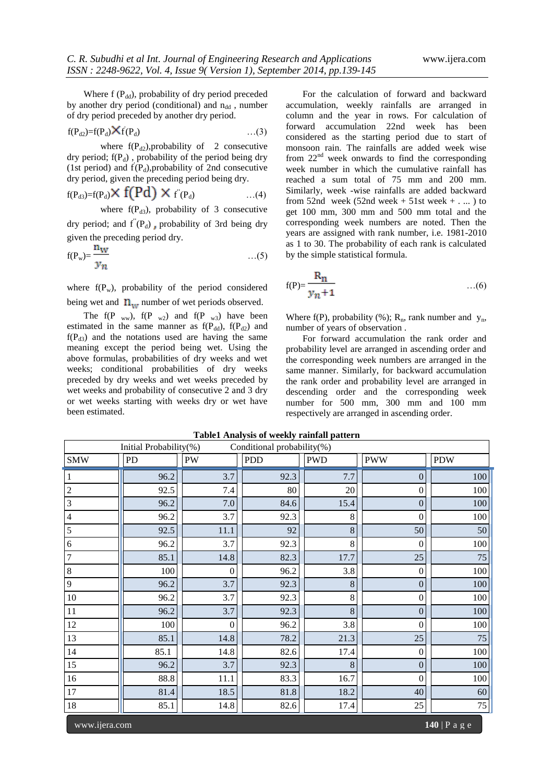Where  $f(P_{dd})$ , probability of dry period preceded by another dry period (conditional) and  $n_{dd}$ , number of dry period preceded by another dry period.

$$
f(P_{d2})=f(P_d)\mathbf{X}f(P_d) \qquad \qquad \dots (3)
$$

where  $f(P_{d2})$ , probability of 2 consecutive dry period;  $f(P_d)$ , probability of the period being dry (1st period) and  $f(P_d)$ , probability of 2nd consecutive dry period, given the preceding period being dry.

$$
f(P_{d3})=f(P_d) \times f(Pd) \times f'(P_d) \qquad \qquad \dots (4)
$$

where  $f(P_{d3})$ , probability of 3 consecutive dry period; and  $f''(P_d)$ , probability of 3rd being dry given the preceding period dry.

$$
f(P_w) = \frac{n_W}{y_n} \tag{5}
$$

where  $f(P_w)$ , probability of the period considered being wet and  $n_{\text{tot}}$  number of wet periods observed.

The  $f(P_{ww})$ ,  $f(P_{w2})$  and  $f(P_{w3})$  have been estimated in the same manner as  $f(P_{dd})$ ,  $f(P_{d2})$  and  $f(P_{d3})$  and the notations used are having the same meaning except the period being wet. Using the above formulas, probabilities of dry weeks and wet weeks; conditional probabilities of dry weeks preceded by dry weeks and wet weeks preceded by wet weeks and probability of consecutive 2 and 3 dry or wet weeks starting with weeks dry or wet have been estimated.

For the calculation of forward and backward accumulation, weekly rainfalls are arranged in column and the year in rows. For calculation of forward accumulation 22nd week has been considered as the starting period due to start of monsoon rain. The rainfalls are added week wise from  $22<sup>nd</sup>$  week onwards to find the corresponding week number in which the cumulative rainfall has reached a sum total of 75 mm and 200 mm. Similarly, week -wise rainfalls are added backward from 52nd week (52nd week  $+$  51st week  $+$  . ... ) to get 100 mm, 300 mm and 500 mm total and the corresponding week numbers are noted. Then the years are assigned with rank number, i.e. 1981-2010 as 1 to 30. The probability of each rank is calculated by the simple statistical formula.

$$
f(P) = \frac{R_n}{y_n + 1} \tag{6}
$$

Where f(P), probability (%);  $R_n$ , rank number and  $y_n$ , number of years of observation .

For forward accumulation the rank order and probability level are arranged in ascending order and the corresponding week numbers are arranged in the same manner. Similarly, for backward accumulation the rank order and probability level are arranged in descending order and the corresponding week number for 500 mm, 300 mm and 100 mm respectively are arranged in ascending order.

| Initial Probability(%)<br>Conditional probability(%) |      |                |            |            |                  |            |  |
|------------------------------------------------------|------|----------------|------------|------------|------------------|------------|--|
| <b>SMW</b>                                           | PD   | <b>PW</b>      | <b>PDD</b> | <b>PWD</b> | <b>PWW</b>       | <b>PDW</b> |  |
|                                                      | 96.2 | 3.7            | 92.3       | 7.7        | $\boldsymbol{0}$ | 100        |  |
| $\sqrt{2}$                                           | 92.5 | 7.4            | 80         | 20         | $\boldsymbol{0}$ | 100        |  |
| $\overline{3}$                                       | 96.2 | 7.0            | 84.6       | 15.4       | $\boldsymbol{0}$ | 100        |  |
| $\overline{4}$                                       | 96.2 | 3.7            | 92.3       | 8          | $\boldsymbol{0}$ | 100        |  |
| 5                                                    | 92.5 | 11.1           | 92         | 8          | 50               | 50         |  |
| 6                                                    | 96.2 | 3.7            | 92.3       | 8          | $\mathbf{0}$     | 100        |  |
| $\overline{7}$                                       | 85.1 | 14.8           | 82.3       | 17.7       | 25               | 75         |  |
| $\,8\,$                                              | 100  | $\mathbf{0}$   | 96.2       | 3.8        | $\boldsymbol{0}$ | 100        |  |
| 9                                                    | 96.2 | 3.7            | 92.3       | $\bf 8$    | $\overline{0}$   | 100        |  |
| 10                                                   | 96.2 | 3.7            | 92.3       | $8\,$      | $\boldsymbol{0}$ | 100        |  |
| $11\,$                                               | 96.2 | 3.7            | 92.3       | 8          | $\boldsymbol{0}$ | 100        |  |
| 12                                                   | 100  | $\overline{0}$ | 96.2       | 3.8        | $\boldsymbol{0}$ | 100        |  |
| 13                                                   | 85.1 | 14.8           | 78.2       | 21.3       | 25               | 75         |  |
| 14                                                   | 85.1 | 14.8           | 82.6       | 17.4       | $\boldsymbol{0}$ | 100        |  |
| 15                                                   | 96.2 | 3.7            | 92.3       | 8          | $\mathbf{0}$     | 100        |  |
| $16\,$                                               | 88.8 | 11.1           | 83.3       | 16.7       | $\boldsymbol{0}$ | 100        |  |
| 17                                                   | 81.4 | 18.5           | 81.8       | 18.2       | 40               | 60         |  |
| $18\,$                                               | 85.1 | 14.8           | 82.6       | 17.4       | 25               | $75\,$     |  |
| $140$   P a g e<br>www.ijera.com                     |      |                |            |            |                  |            |  |

#### **Table1 Analysis of weekly rainfall pattern**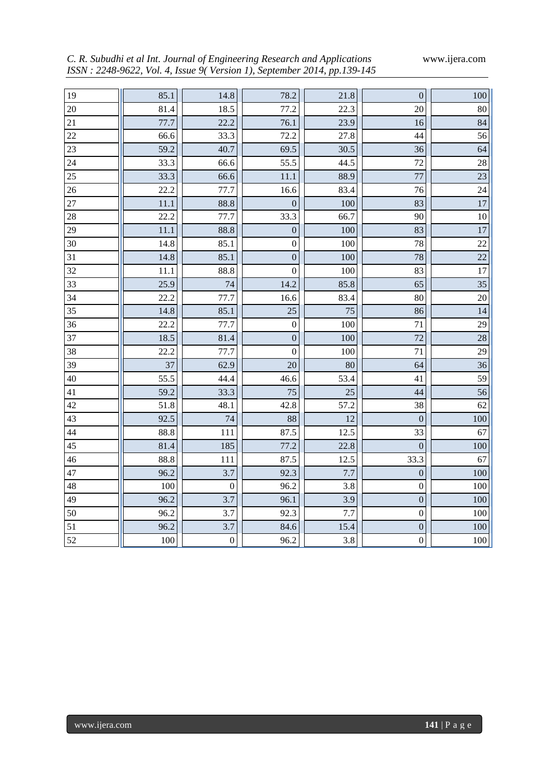*C. R. Subudhi et al Int. Journal of Engineering Research and Applications* www.ijera.com *ISSN : 2248-9622, Vol. 4, Issue 9( Version 1), September 2014, pp.139-145*

| 19              | 85.1 | 14.8             | 78.2             | 21.8 | $\boldsymbol{0}$ | 100             |
|-----------------|------|------------------|------------------|------|------------------|-----------------|
| 20              | 81.4 | 18.5             | 77.2             | 22.3 | 20               | 80              |
| 21              | 77.7 | 22.2             | 76.1             | 23.9 | 16               | 84              |
| 22              | 66.6 | 33.3             | 72.2             | 27.8 | 44               | 56              |
| 23              | 59.2 | 40.7             | 69.5             | 30.5 | 36               | 64              |
| 24              | 33.3 | 66.6             | 55.5             | 44.5 | 72               | 28              |
| 25              | 33.3 | 66.6             | 11.1             | 88.9 | 77               | 23              |
| $\overline{26}$ | 22.2 | 77.7             | 16.6             | 83.4 | 76               | $\overline{24}$ |
| 27              | 11.1 | 88.8             | $\boldsymbol{0}$ | 100  | 83               | 17              |
| 28              | 22.2 | 77.7             | 33.3             | 66.7 | 90               | 10              |
| 29              | 11.1 | 88.8             | $\boldsymbol{0}$ | 100  | 83               | 17              |
| 30              | 14.8 | 85.1             | $\boldsymbol{0}$ | 100  | 78               | 22              |
| 31              | 14.8 | 85.1             | $\overline{0}$   | 100  | 78               | 22              |
| 32              | 11.1 | 88.8             | $\boldsymbol{0}$ | 100  | 83               | 17              |
| 33              | 25.9 | 74               | 14.2             | 85.8 | 65               | 35              |
| 34              | 22.2 | 77.7             | 16.6             | 83.4 | 80               | 20              |
| 35              | 14.8 | 85.1             | 25               | 75   | 86               | 14              |
| 36              | 22.2 | 77.7             | $\boldsymbol{0}$ | 100  | 71               | 29              |
| 37              | 18.5 | 81.4             | $\overline{0}$   | 100  | 72               | 28              |
| 38              | 22.2 | 77.7             | $\boldsymbol{0}$ | 100  | 71               | 29              |
| 39              | 37   | 62.9             | 20               | 80   | 64               | 36              |
| 40              | 55.5 | 44.4             | 46.6             | 53.4 | 41               | 59              |
| 41              | 59.2 | 33.3             | 75               | 25   | 44               | 56              |
| 42              | 51.8 | 48.1             | 42.8             | 57.2 | 38               | 62              |
| 43              | 92.5 | 74               | 88               | 12   | $\boldsymbol{0}$ | 100             |
| 44              | 88.8 | 111              | 87.5             | 12.5 | 33               | 67              |
| 45              | 81.4 | 185              | 77.2             | 22.8 | $\boldsymbol{0}$ | 100             |
| 46              | 88.8 | 111              | 87.5             | 12.5 | 33.3             | 67              |
| 47              | 96.2 | 3.7              | 92.3             | 7.7  | $\mathbf{0}$     | 100             |
| 48              | 100  | $\boldsymbol{0}$ | 96.2             | 3.8  | $\boldsymbol{0}$ | 100             |
| 49              | 96.2 | 3.7              | 96.1             | 3.9  | $\boldsymbol{0}$ | 100             |
| 50              | 96.2 | 3.7              | 92.3             | 7.7  | $\boldsymbol{0}$ | 100             |
| 51              | 96.2 | 3.7              | 84.6             | 15.4 | $\boldsymbol{0}$ | 100             |
| 52              | 100  | $\boldsymbol{0}$ | 96.2             | 3.8  | $\boldsymbol{0}$ | $100\,$         |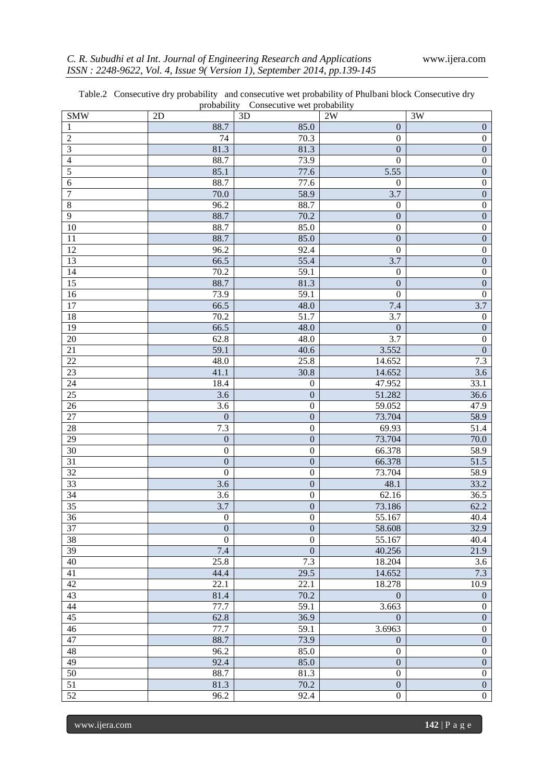|  | Table.2 Consecutive dry probability and consecutive wet probability of Phulbani block Consecutive dry |  |
|--|-------------------------------------------------------------------------------------------------------|--|
|  | probability Consecutive wet probability                                                               |  |

|                  |                  | probability Consecutive wet probability |                  |                  |
|------------------|------------------|-----------------------------------------|------------------|------------------|
| <b>SMW</b>       | 2D               | 3D                                      | 2W               | 3W               |
| 1                | 88.7             | 85.0                                    | $\boldsymbol{0}$ | $\boldsymbol{0}$ |
| $\overline{c}$   | 74               | 70.3                                    | $\boldsymbol{0}$ | $\boldsymbol{0}$ |
| 3                | 81.3             | 81.3                                    | $\mathbf{0}$     | $\boldsymbol{0}$ |
| 4                | 88.7             | 73.9                                    | $\mathbf{0}$     | $\boldsymbol{0}$ |
| 5                | 85.1             | 77.6                                    | 5.55             | $\overline{0}$   |
| 6                | 88.7             | 77.6                                    | $\boldsymbol{0}$ | $\boldsymbol{0}$ |
| $\boldsymbol{7}$ | 70.0             | 58.9                                    | 3.7              | $\overline{0}$   |
| $\,$ 8 $\,$      | 96.2             | 88.7                                    | $\boldsymbol{0}$ | $\boldsymbol{0}$ |
| 9                | 88.7             | 70.2                                    | $\boldsymbol{0}$ | $\overline{0}$   |
| 10               | 88.7             | 85.0                                    | $\boldsymbol{0}$ | $\boldsymbol{0}$ |
| 11               | 88.7             | 85.0                                    | $\mathbf{0}$     | $\overline{0}$   |
| 12               | 96.2             | 92.4                                    | $\boldsymbol{0}$ | $\boldsymbol{0}$ |
| 13               | 66.5             | 55.4                                    | 3.7              | $\overline{0}$   |
| 14               | 70.2             | 59.1                                    | $\boldsymbol{0}$ | $\boldsymbol{0}$ |
| $\overline{15}$  | 88.7             | 81.3                                    | $\mathbf{0}$     | $\overline{0}$   |
| 16               | 73.9             | 59.1                                    | $\mathbf{0}$     | $\boldsymbol{0}$ |
| 17               | 66.5             | 48.0                                    | 7.4              | $\overline{3.7}$ |
| 18               | 70.2             | 51.7                                    | 3.7              | $\boldsymbol{0}$ |
| 19               | 66.5             | 48.0                                    | $\overline{0}$   | $\boldsymbol{0}$ |
| 20               | 62.8             | 48.0                                    | 3.7              | $\boldsymbol{0}$ |
| 21               | 59.1             | 40.6                                    | 3.552            | $\overline{0}$   |
| 22               | 48.0             | 25.8                                    | 14.652           | 7.3              |
| 23               | 41.1             | 30.8                                    | 14.652           | 3.6              |
| $\overline{24}$  | 18.4             | $\boldsymbol{0}$                        | 47.952           | 33.1             |
| 25               | $\overline{3.6}$ | $\overline{0}$                          | 51.282           | 36.6             |
| $\overline{26}$  | $\overline{3.6}$ | $\boldsymbol{0}$                        | 59.052           | 47.9             |
| 27               | $\boldsymbol{0}$ | $\overline{0}$                          | 73.704           | 58.9             |
| 28               | 7.3              | $\boldsymbol{0}$                        | 69.93            | 51.4             |
| 29               | $\boldsymbol{0}$ | $\overline{0}$                          | 73.704           | 70.0             |
| $\overline{30}$  | $\boldsymbol{0}$ | $\boldsymbol{0}$                        | 66.378           | 58.9             |
| $\overline{31}$  | $\boldsymbol{0}$ | $\overline{0}$                          | 66.378           | 51.5             |
| 32               | $\boldsymbol{0}$ | $\boldsymbol{0}$                        | 73.704           | 58.9             |
| 33               | $\overline{3.6}$ | $\overline{0}$                          | 48.1             | 33.2             |
| $\overline{34}$  | $\overline{3.6}$ | $\boldsymbol{0}$                        | 62.16            | 36.5             |
| $\overline{35}$  | 3.7              | $\overline{0}$                          | 73.186           | 62.2             |
| $\overline{36}$  | $\boldsymbol{0}$ | $\boldsymbol{0}$                        | 55.167           | 40.4             |
| 37               | $\boldsymbol{0}$ | $\boldsymbol{0}$                        | 58.608           | 32.9             |
| $\overline{38}$  | $\overline{0}$   | $\overline{0}$                          | 55.167           | 40.4             |
| 39               | 7.4              | $\overline{0}$                          | 40.256           | 21.9             |
| $\overline{40}$  | 25.8             | 7.3                                     | 18.204           | $\overline{3.6}$ |
| $\overline{41}$  | 44.4             | 29.5                                    | 14.652           | 7.3              |
| 42               | 22.1             | 22.1                                    | 18.278           | 10.9             |
| 43               | 81.4             | 70.2                                    | $\boldsymbol{0}$ | $\boldsymbol{0}$ |
| 44               | 77.7             | 59.1                                    | 3.663            | $\overline{0}$   |
| 45               | 62.8             | 36.9                                    | $\overline{0}$   | $\overline{0}$   |
| 46               | 77.7             | 59.1                                    | 3.6963           | $\overline{0}$   |
| 47               | 88.7             | 73.9                                    | $\boldsymbol{0}$ | $\overline{0}$   |
| 48               | 96.2             | 85.0                                    | $\overline{0}$   | $\overline{0}$   |
| 49               | 92.4             | 85.0                                    | $\overline{0}$   | $\overline{0}$   |
| $\overline{50}$  | 88.7             | 81.3                                    | $\boldsymbol{0}$ | $\overline{0}$   |
| 51               | 81.3             | 70.2                                    | $\overline{0}$   | $\overline{0}$   |
| 52               | 96.2             | 92.4                                    | $\boldsymbol{0}$ | $\overline{0}$   |

www.ijera.com **142** | P a g e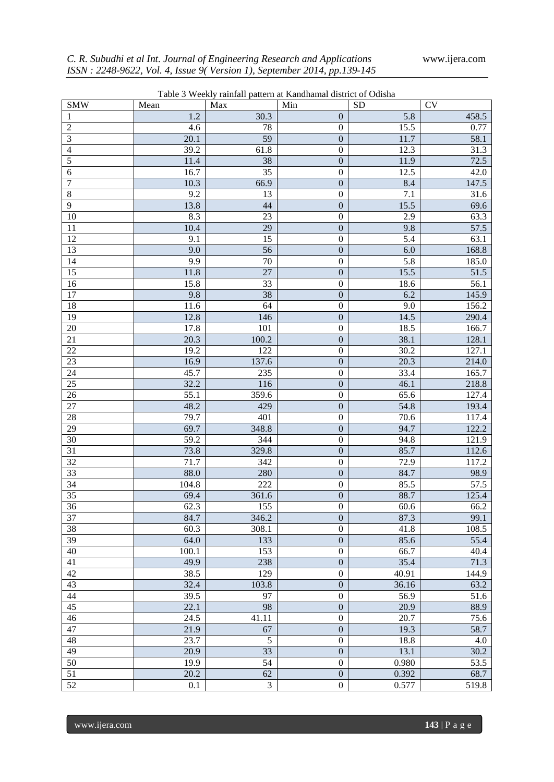| Table 3 Weekly rainfall pattern at Kandhamal district of Odisha |              |                         |                                      |              |                        |  |  |
|-----------------------------------------------------------------|--------------|-------------------------|--------------------------------------|--------------|------------------------|--|--|
| <b>SMW</b>                                                      | Mean         | Max                     | Min                                  | <b>SD</b>    | $\overline{\text{CV}}$ |  |  |
| 1                                                               | $1.2\,$      | 30.3                    | $\boldsymbol{0}$                     | 5.8          | 458.5                  |  |  |
| $\overline{c}$                                                  | 4.6          | 78                      | $\boldsymbol{0}$                     | 15.5         | 0.77                   |  |  |
| $\mathfrak{Z}$                                                  | 20.1         | $\overline{59}$         | $\boldsymbol{0}$                     | 11.7         | 58.1                   |  |  |
| $\overline{4}$                                                  | 39.2         | 61.8                    | $\boldsymbol{0}$                     | 12.3         | 31.3                   |  |  |
| $\overline{5}$                                                  | 11.4         | 38                      | $\boldsymbol{0}$                     | 11.9         | 72.5                   |  |  |
| 6                                                               | 16.7         | $\overline{35}$         | $\boldsymbol{0}$                     | 12.5         | 42.0                   |  |  |
| $\overline{7}$                                                  | 10.3         | 66.9                    | $\boldsymbol{0}$                     | 8.4          | 147.5                  |  |  |
| $\,$ 8 $\,$                                                     | 9.2          | 13                      | $\boldsymbol{0}$                     | 7.1          | 31.6                   |  |  |
| $\overline{9}$                                                  | 13.8         | 44                      | $\boldsymbol{0}$                     | 15.5         | 69.6                   |  |  |
| 10                                                              | 8.3          | 23                      | $\boldsymbol{0}$                     | 2.9          | 63.3                   |  |  |
| 11                                                              | 10.4         | 29                      | $\boldsymbol{0}$                     | 9.8          | 57.5                   |  |  |
| 12                                                              | 9.1          | 15                      | $\boldsymbol{0}$                     | 5.4          | 63.1                   |  |  |
| $\overline{13}$                                                 | 9.0          | $\overline{56}$         | $\boldsymbol{0}$                     | 6.0          | 168.8                  |  |  |
| 14                                                              | 9.9          | $70\,$                  | $\boldsymbol{0}$                     | 5.8          | 185.0                  |  |  |
| 15                                                              | 11.8         | 27                      | $\boldsymbol{0}$                     | 15.5         | 51.5                   |  |  |
| $\overline{16}$                                                 | 15.8         | $\overline{33}$         | $\boldsymbol{0}$                     | 18.6         | 56.1                   |  |  |
| 17                                                              | 9.8          | 38                      | $\boldsymbol{0}$                     | 6.2          | 145.9                  |  |  |
| $\overline{18}$                                                 | 11.6         | 64                      | $\boldsymbol{0}$                     | 9.0          | 156.2                  |  |  |
| $\overline{19}$                                                 | 12.8         | 146                     | $\boldsymbol{0}$                     | 14.5         | 290.4                  |  |  |
| $20\,$                                                          | 17.8         | 101                     | $\boldsymbol{0}$                     | 18.5         | 166.7                  |  |  |
| 21                                                              | 20.3         | 100.2                   | $\boldsymbol{0}$                     | 38.1         | 128.1                  |  |  |
| $\overline{22}$                                                 | 19.2         | 122                     | $\boldsymbol{0}$                     | 30.2         | 127.1                  |  |  |
| 23                                                              | 16.9         | 137.6                   | $\boldsymbol{0}$                     | 20.3         | 214.0                  |  |  |
| $\overline{24}$                                                 | 45.7         | 235                     | $\boldsymbol{0}$                     | 33.4         | 165.7                  |  |  |
| $\overline{25}$                                                 | 32.2         | 116                     | $\boldsymbol{0}$                     | 46.1         | 218.8                  |  |  |
| $\overline{26}$                                                 | 55.1<br>48.2 | 359.6                   | $\boldsymbol{0}$                     | 65.6         | 127.4                  |  |  |
| $27\,$                                                          |              | 429                     | $\boldsymbol{0}$<br>$\boldsymbol{0}$ | 54.8         | 193.4                  |  |  |
| $28\,$<br>29                                                    | 79.7<br>69.7 | 401<br>348.8            | $\boldsymbol{0}$                     | 70.6<br>94.7 | 117.4<br>122.2         |  |  |
| $30\,$                                                          | 59.2         | 344                     | $\boldsymbol{0}$                     | 94.8         | 121.9                  |  |  |
| 31                                                              | 73.8         | 329.8                   | $\boldsymbol{0}$                     | 85.7         | 112.6                  |  |  |
| $\overline{32}$                                                 | 71.7         | 342                     | $\boldsymbol{0}$                     | 72.9         | 117.2                  |  |  |
| $\overline{33}$                                                 | 88.0         | 280                     | $\boldsymbol{0}$                     | 84.7         | 98.9                   |  |  |
| $\overline{34}$                                                 | 104.8        | 222                     | $\boldsymbol{0}$                     | 85.5         | 57.5                   |  |  |
| $\overline{35}$                                                 | 69.4         | 361.6                   | $\boldsymbol{0}$                     | 88.7         | 125.4                  |  |  |
| $\overline{36}$                                                 | 62.3         | 155                     | $\theta$                             | 60.6         | 66.2                   |  |  |
| $\overline{37}$                                                 | 84.7         | 346.2                   | $\boldsymbol{0}$                     | 87.3         | 99.1                   |  |  |
| 38                                                              | 60.3         | 308.1                   | $\boldsymbol{0}$                     | 41.8         | 108.5                  |  |  |
| 39                                                              | 64.0         | 133                     | $\boldsymbol{0}$                     | 85.6         | 55.4                   |  |  |
| 40                                                              | 100.1        | 153                     | $\boldsymbol{0}$                     | 66.7         | 40.4                   |  |  |
| 41                                                              | 49.9         | 238                     | $\boldsymbol{0}$                     | 35.4         | 71.3                   |  |  |
| 42                                                              | 38.5         | 129                     | $\overline{0}$                       | 40.91        | 144.9                  |  |  |
| 43                                                              | 32.4         | 103.8                   | $\boldsymbol{0}$                     | 36.16        | 63.2                   |  |  |
| 44                                                              | 39.5         | 97                      | $\overline{0}$                       | 56.9         | 51.6                   |  |  |
| $\overline{45}$                                                 | 22.1         | 98                      | $\boldsymbol{0}$                     | 20.9         | 88.9                   |  |  |
| $\overline{46}$                                                 | 24.5         | 41.11                   | $\boldsymbol{0}$                     | 20.7         | 75.6                   |  |  |
| 47                                                              | 21.9         | 67                      | $\boldsymbol{0}$                     | 19.3         | 58.7                   |  |  |
| 48                                                              | 23.7         | $\overline{5}$          | $\boldsymbol{0}$                     | 18.8         | 4.0                    |  |  |
| 49                                                              | 20.9         | 33                      | $\boldsymbol{0}$                     | 13.1         | 30.2                   |  |  |
| $\overline{50}$                                                 | 19.9         | $\overline{54}$         | $\overline{0}$                       | 0.980        | 53.5                   |  |  |
| 51                                                              | 20.2         | 62                      | $\boldsymbol{0}$                     | 0.392        | 68.7                   |  |  |
| $\overline{52}$                                                 | 0.1          | $\overline{\mathbf{3}}$ | $\overline{0}$                       | 0.577        | 519.8                  |  |  |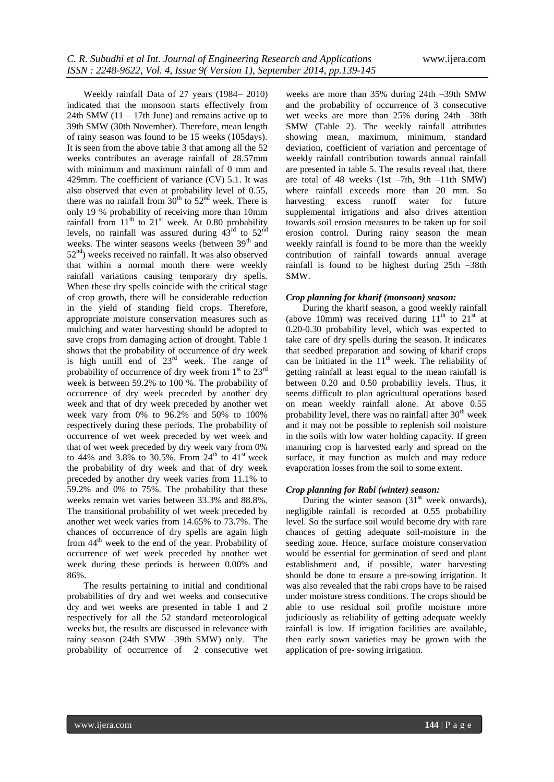Weekly rainfall Data of 27 years (1984– 2010) indicated that the monsoon starts effectively from 24th SMW  $(11 - 17$ th June) and remains active up to 39th SMW (30th November). Therefore, mean length of rainy season was found to be 15 weeks (105days). It is seen from the above table 3 that among all the 52 weeks contributes an average rainfall of 28.57mm with minimum and maximum rainfall of 0 mm and 429mm. The coefficient of variance (CV) 5.1. It was also observed that even at probability level of 0.55, there was no rainfall from  $30<sup>th</sup>$  to  $52<sup>nd</sup>$  week. There is only 19 % probability of receiving more than 10mm rainfall from  $11<sup>th</sup>$  to  $21<sup>st</sup>$  week. At 0.80 probability levels, no rainfall was assured during  $43^{\text{rd}}$  to  $52^{\text{nd}}$ weeks. The winter seasons weeks (between 39<sup>th</sup> and  $52<sup>nd</sup>$ ) weeks received no rainfall. It was also observed that within a normal month there were weekly rainfall variations causing temporary dry spells. When these dry spells coincide with the critical stage of crop growth, there will be considerable reduction in the yield of standing field crops. Therefore, appropriate moisture conservation measures such as mulching and water harvesting should be adopted to save crops from damaging action of drought. Table 1 shows that the probability of occurrence of dry week is high untill end of  $23<sup>rd</sup>$  week. The range of probability of occurrence of dry week from  $1<sup>st</sup>$  to  $23<sup>rd</sup>$ week is between 59.2% to 100 %. The probability of occurrence of dry week preceded by another dry week and that of dry week preceded by another wet week vary from 0% to 96.2% and 50% to 100% respectively during these periods. The probability of occurrence of wet week preceded by wet week and that of wet week preceded by dry week vary from 0% to 44% and 3.8% to 30.5%. From  $24^{th}$  to 41<sup>st</sup> week the probability of dry week and that of dry week preceded by another dry week varies from 11.1% to 59.2% and 0% to 75%. The probability that these weeks remain wet varies between 33.3% and 88.8%. The transitional probability of wet week preceded by another wet week varies from 14.65% to 73.7%. The chances of occurrence of dry spells are again high from  $44<sup>th</sup>$  week to the end of the year. Probability of occurrence of wet week preceded by another wet week during these periods is between 0.00% and 86%.

The results pertaining to initial and conditional probabilities of dry and wet weeks and consecutive dry and wet weeks are presented in table 1 and 2 respectively for all the 52 standard meteorological weeks but, the results are discussed in relevance with rainy season (24th SMW –39th SMW) only. The probability of occurrence of 2 consecutive wet

weeks are more than 35% during 24th –39th SMW and the probability of occurrence of 3 consecutive wet weeks are more than 25% during 24th –38th SMW (Table 2). The weekly rainfall attributes showing mean, maximum, minimum, standard deviation, coefficient of variation and percentage of weekly rainfall contribution towards annual rainfall are presented in table 5. The results reveal that, there are total of 48 weeks  $(1st -7th, 9th -11th SMW)$ where rainfall exceeds more than 20 mm. So harvesting excess runoff water for future supplemental irrigations and also drives attention towards soil erosion measures to be taken up for soil erosion control. During rainy season the mean weekly rainfall is found to be more than the weekly contribution of rainfall towards annual average rainfall is found to be highest during 25th –38th SMW.

#### *Crop planning for kharif (monsoon) season:*

During the kharif season, a good weekly rainfall (above 10mm) was received during  $11<sup>th</sup>$  to  $21<sup>st</sup>$  at 0.20-0.30 probability level, which was expected to take care of dry spells during the season. It indicates that seedbed preparation and sowing of kharif crops can be initiated in the  $11<sup>th</sup>$  week. The reliability of getting rainfall at least equal to the mean rainfall is between 0.20 and 0.50 probability levels. Thus, it seems difficult to plan agricultural operations based on mean weekly rainfall alone. At above 0.55 probability level, there was no rainfall after  $30<sup>th</sup>$  week and it may not be possible to replenish soil moisture in the soils with low water holding capacity. If green manuring crop is harvested early and spread on the surface, it may function as mulch and may reduce evaporation losses from the soil to some extent.

#### *Crop planning for Rabi (winter) season:*

During the winter season  $(31<sup>st</sup>$  week onwards), negligible rainfall is recorded at 0.55 probability level. So the surface soil would become dry with rare chances of getting adequate soil-moisture in the seeding zone. Hence, surface moisture conservation would be essential for germination of seed and plant establishment and, if possible, water harvesting should be done to ensure a pre-sowing irrigation. It was also revealed that the rabi crops have to be raised under moisture stress conditions. The crops should be able to use residual soil profile moisture more judiciously as reliability of getting adequate weekly rainfall is low. If irrigation facilities are available, then early sown varieties may be grown with the application of pre- sowing irrigation.